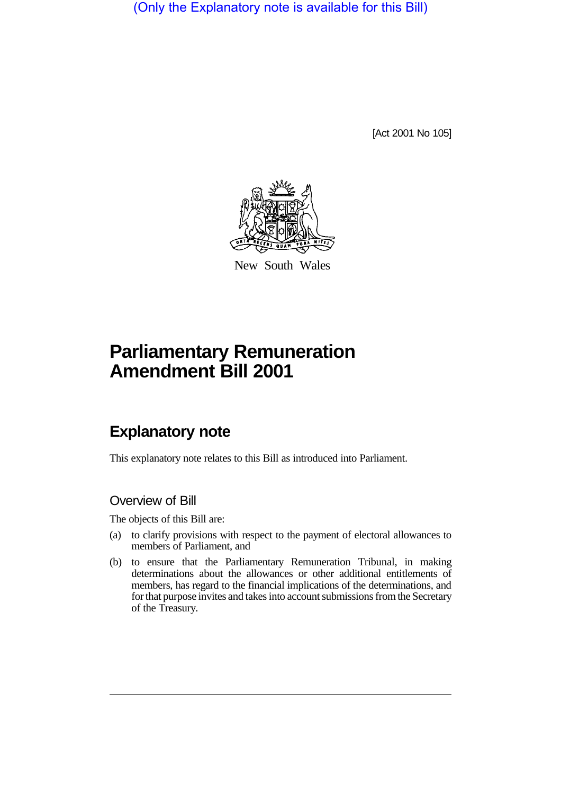(Only the Explanatory note is available for this Bill)

[Act 2001 No 105]



New South Wales

# **Parliamentary Remuneration Amendment Bill 2001**

# **Explanatory note**

This explanatory note relates to this Bill as introduced into Parliament.

## Overview of Bill

The objects of this Bill are:

- (a) to clarify provisions with respect to the payment of electoral allowances to members of Parliament, and
- (b) to ensure that the Parliamentary Remuneration Tribunal, in making determinations about the allowances or other additional entitlements of members, has regard to the financial implications of the determinations, and for that purpose invites and takes into account submissions from the Secretary of the Treasury.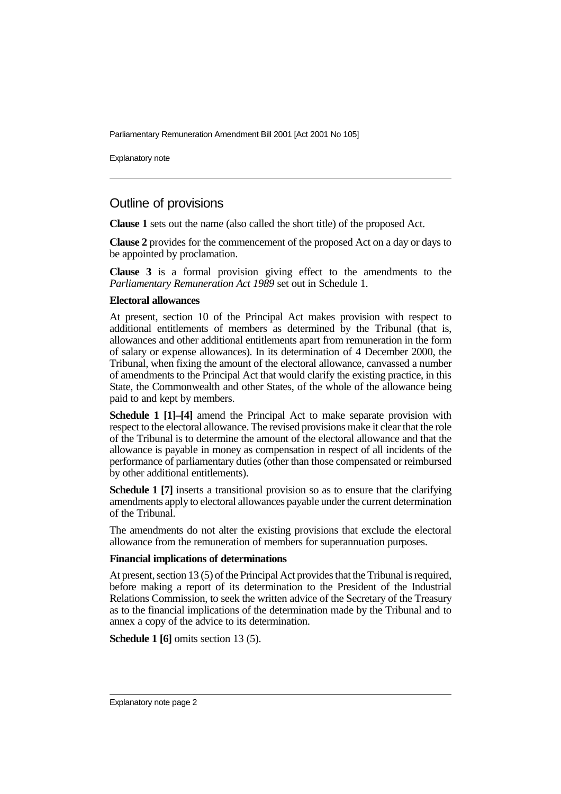Parliamentary Remuneration Amendment Bill 2001 [Act 2001 No 105]

Explanatory note

### Outline of provisions

**Clause 1** sets out the name (also called the short title) of the proposed Act.

**Clause 2** provides for the commencement of the proposed Act on a day or days to be appointed by proclamation.

**Clause 3** is a formal provision giving effect to the amendments to the *Parliamentary Remuneration Act 1989* set out in Schedule 1.

#### **Electoral allowances**

At present, section 10 of the Principal Act makes provision with respect to additional entitlements of members as determined by the Tribunal (that is, allowances and other additional entitlements apart from remuneration in the form of salary or expense allowances). In its determination of 4 December 2000, the Tribunal, when fixing the amount of the electoral allowance, canvassed a number of amendments to the Principal Act that would clarify the existing practice, in this State, the Commonwealth and other States, of the whole of the allowance being paid to and kept by members.

**Schedule 1 [1]–[4]** amend the Principal Act to make separate provision with respect to the electoral allowance. The revised provisions make it clear that the role of the Tribunal is to determine the amount of the electoral allowance and that the allowance is payable in money as compensation in respect of all incidents of the performance of parliamentary duties (other than those compensated or reimbursed by other additional entitlements).

**Schedule 1 [7]** inserts a transitional provision so as to ensure that the clarifying amendments apply to electoral allowances payable under the current determination of the Tribunal.

The amendments do not alter the existing provisions that exclude the electoral allowance from the remuneration of members for superannuation purposes.

#### **Financial implications of determinations**

At present, section 13 (5) of the Principal Act provides that the Tribunal is required, before making a report of its determination to the President of the Industrial Relations Commission, to seek the written advice of the Secretary of the Treasury as to the financial implications of the determination made by the Tribunal and to annex a copy of the advice to its determination.

**Schedule 1** [6] omits section 13 (5).